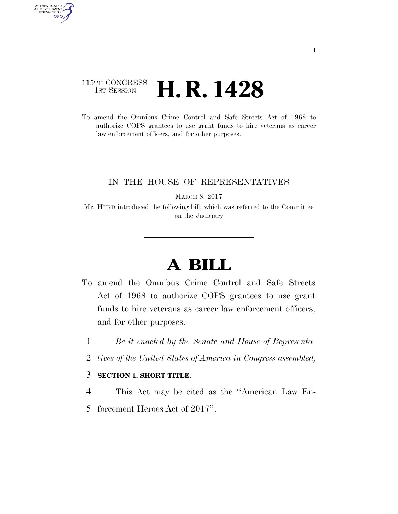## 115TH CONGRESS <sup>TH CONGRESS</sup> **H. R. 1428**

AUTHENTICATED<br>U.S. GOVERNMENT<br>INFORMATION

GPO

To amend the Omnibus Crime Control and Safe Streets Act of 1968 to authorize COPS grantees to use grant funds to hire veterans as career law enforcement officers, and for other purposes.

## IN THE HOUSE OF REPRESENTATIVES

MARCH 8, 2017

Mr. HURD introduced the following bill; which was referred to the Committee on the Judiciary

## **A BILL**

- To amend the Omnibus Crime Control and Safe Streets Act of 1968 to authorize COPS grantees to use grant funds to hire veterans as career law enforcement officers, and for other purposes.
	- 1 *Be it enacted by the Senate and House of Representa-*
	- 2 *tives of the United States of America in Congress assembled,*

## 3 **SECTION 1. SHORT TITLE.**

4 This Act may be cited as the ''American Law En-

5 forcement Heroes Act of 2017''.